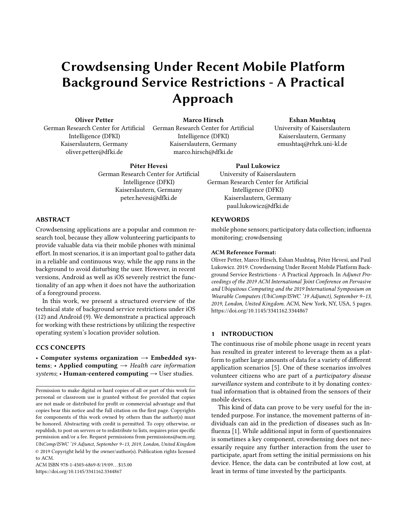# Crowdsensing Under Recent Mobile Platform Background Service Restrictions - A Practical Approach

Oliver Petter

German Research Center for Artificial Intelligence (DFKI) Kaiserslautern, Germany oliver.petter@dfki.de

Marco Hirsch German Research Center for Artificial Intelligence (DFKI) Kaiserslautern, Germany marco.hirsch@dfki.de

# Eshan Mushtaq

University of Kaiserslautern Kaiserslautern, Germany emushtaq@rhrk.uni-kl.de

Péter Hevesi

German Research Center for Artificial Intelligence (DFKI) Kaiserslautern, Germany peter.hevesi@dfki.de

# ABSTRACT

Crowdsensing applications are a popular and common research tool, because they allow volunteering participants to provide valuable data via their mobile phones with minimal effort. In most scenarios, it is an important goal to gather data in a reliable and continuous way, while the app runs in the background to avoid disturbing the user. However, in recent versions, Android as well as iOS severely restrict the functionality of an app when it does not have the authorization of a foreground process.

In this work, we present a structured overview of the technical state of background service restrictions under iOS (12) and Android (9). We demonstrate a practical approach for working with these restrictions by utilizing the respective operating system's location provider solution.

# CCS CONCEPTS

• Computer systems organization  $\rightarrow$  Embedded systems; • Applied computing  $\rightarrow$  Health care information systems; • Human-centered computing  $\rightarrow$  User studies.

ACM ISBN 978-1-4503-6869-8/19/09...\$15.00 <https://doi.org/10.1145/3341162.3344867>

### Paul Lukowicz

University of Kaiserslautern German Research Center for Artificial Intelligence (DFKI) Kaiserslautern, Germany paul.lukowicz@dfki.de

# **KEYWORDS**

mobile phone sensors; participatory data collection; influenza monitoring; crowdsensing

#### ACM Reference Format:

Oliver Petter, Marco Hirsch, Eshan Mushtaq, Péter Hevesi, and Paul Lukowicz. 2019. Crowdsensing Under Recent Mobile Platform Background Service Restrictions - A Practical Approach. In Adjunct Proceedings of the 2019 ACM International Joint Conference on Pervasive and Ubiquitous Computing and the 2019 International Symposium on Wearable Computers (UbiComp/ISWC '19 Adjunct), September 9–13, 2019, London, United Kingdom. ACM, New York, NY, USA, [5](#page-4-0) pages. <https://doi.org/10.1145/3341162.3344867>

## 1 INTRODUCTION

The continuous rise of mobile phone usage in recent years has resulted in greater interest to leverage them as a platform to gather large amounts of data for a variety of different application scenarios [\[5\]](#page-4-1). One of these scenarios involves volunteer citizens who are part of a participatory disease surveillance system and contribute to it by donating contextual information that is obtained from the sensors of their mobile devices.

This kind of data can prove to be very useful for the intended purpose. For instance, the movement patterns of individuals can aid in the prediction of diseases such as Influenza [\[1\]](#page-4-2). While additional input in form of questionnaires is sometimes a key component, crowdsensing does not necessarily require any further interaction from the user to participate, apart from setting the initial permissions on his device. Hence, the data can be contributed at low cost, at least in terms of time invested by the participants.

Permission to make digital or hard copies of all or part of this work for personal or classroom use is granted without fee provided that copies are not made or distributed for profit or commercial advantage and that copies bear this notice and the full citation on the first page. Copyrights for components of this work owned by others than the author(s) must be honored. Abstracting with credit is permitted. To copy otherwise, or republish, to post on servers or to redistribute to lists, requires prior specific permission and/or a fee. Request permissions from permissions@acm.org. UbiComp/ISWC '19 Adjunct, September 9–13, 2019, London, United Kingdom © 2019 Copyright held by the owner/author(s). Publication rights licensed to ACM.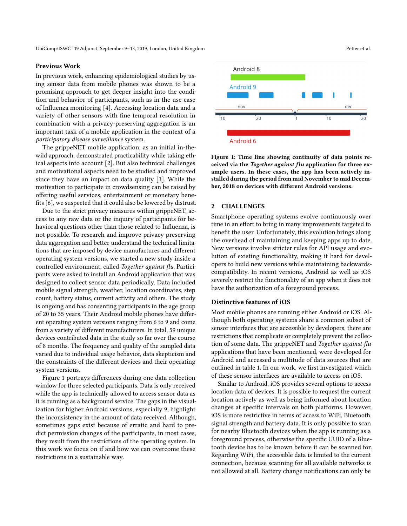#### Previous Work

In previous work, enhancing epidemiological studies by using sensor data from mobile phones was shown to be a promising approach to get deeper insight into the condition and behavior of participants, such as in the use case of Influenza monitoring [\[4\]](#page-4-3). Accessing location data and a variety of other sensors with fine temporal resolution in combination with a privacy-preserving aggregation is an important task of a mobile application in the context of a participatory disease surveillance system.

The grippeNET mobile application, as an initial in-thewild approach, demonstrated practicability while taking ethical aspects into account [\[2\]](#page-4-4). But also technical challenges and motivational aspects need to be studied and improved since they have an impact on data quality [\[3\]](#page-4-5). While the motivation to participate in crowdsensing can be raised by offering useful services, entertainment or monetary benefits [\[6\]](#page-4-6), we suspected that it could also be lowered by distrust.

Due to the strict privacy measures within grippeNET, access to any raw data or the inquiry of participants for behavioral questions other than those related to Influenza, is not possible. To research and improve privacy preserving data aggregation and better understand the technical limitations that are imposed by device manufactures and different operating system versions, we started a new study inside a controlled environment, called Together against flu. Participants were asked to install an Android application that was designed to collect sensor data periodically. Data included mobile signal strength, weather, location coordinates, step count, battery status, current activity and others. The study is ongoing and has consenting participants in the age group of 20 to 35 years. Their Android mobile phones have different operating system versions ranging from 6 to 9 and come from a variety of different manufacturers. In total, 59 unique devices contributed data in the study so far over the course of 8 months. The frequency and quality of the sampled data varied due to individual usage behavior, data skepticism and the constraints of the different devices and their operating system versions.

Figure [1](#page-1-0) portrays differences during one data collection window for three selected participants. Data is only received while the app is technically allowed to access sensor data as it is running as a background service. The gaps in the visualization for higher Android versions, especially 9, highlight the inconsistency in the amount of data received. Although, sometimes gaps exist because of erratic and hard to predict permission changes of the participants, in most cases, they result from the restrictions of the operating system. In this work we focus on if and how we can overcome these restrictions in a sustainable way.

<span id="page-1-0"></span>

Figure 1: Time line showing continuity of data points received via the Together against flu application for three example users. In these cases, the app has been actively installed during the period from mid November to mid December, 2018 on devices with different Android versions.

#### 2 CHALLENGES

Smartphone operating systems evolve continuously over time in an effort to bring in many improvements targeted to benefit the user. Unfortunately, this evolution brings along the overhead of maintaining and keeping apps up to date. New versions involve stricter rules for API usage and evolution of existing functionality, making it hard for developers to build new versions while maintaining backwardscompatibility. In recent versions, Android as well as iOS severely restrict the functionality of an app when it does not have the authorization of a foreground process.

#### Distinctive features of iOS

Most mobile phones are running either Android or iOS. Although both operating systems share a common subset of sensor interfaces that are accessible by developers, there are restrictions that complicate or completely prevent the collection of some data. The grippeNET and Together against flu applications that have been mentioned, were developed for Android and accessed a multitude of data sources that are outlined in table [1.](#page-2-0) In our work, we first investigated which of these sensor interfaces are available to access on iOS.

Similar to Android, iOS provides several options to access location data of devices. It is possible to request the current location actively as well as being informed about location changes at specific intervals on both platforms. However, iOS is more restrictive in terms of access to WiFi, Bluetooth, signal strength and battery data. It is only possible to scan for nearby Bluetooth devices when the app is running as a foreground process, otherwise the specific UUID of a Bluetooth device has to be known before it can be scanned for. Regarding WiFi, the accessible data is limited to the current connection, because scanning for all available networks is not allowed at all. Battery change notifications can only be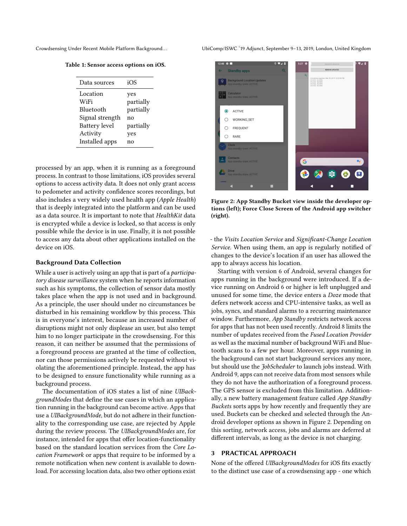<span id="page-2-0"></span>

|  | Table 1: Sensor access options on iOS. |  |  |  |
|--|----------------------------------------|--|--|--|
|--|----------------------------------------|--|--|--|

| Data sources                         | iOS                           |
|--------------------------------------|-------------------------------|
| Location<br>WiFi<br><b>Bluetooth</b> | yes<br>partially<br>partially |
| Signal strength                      | no                            |
| Battery level                        | partially                     |
| Activity                             | yes                           |
| Installed apps                       | no                            |

processed by an app, when it is running as a foreground process. In contrast to those limitations, iOS provides several options to access activity data. It does not only grant access to pedometer and activity confidence scores recordings, but also includes a very widely used health app (Apple Health) that is deeply integrated into the platform and can be used as a data source. It is important to note that HealthKit data is encrypted while a device is locked, so that access is only possible while the device is in use. Finally, it is not possible to access any data about other applications installed on the device on iOS.

#### Background Data Collection

While a user is actively using an app that is part of a *participa*tory disease surveillance system when he reports information such as his symptoms, the collection of sensor data mostly takes place when the app is not used and in background. As a principle, the user should under no circumstances be disturbed in his remaining workflow by this process. This is in everyone's interest, because an increased number of disruptions might not only displease an user, but also tempt him to no longer participate in the crowdsensing. For this reason, it can neither be assumed that the permissions of a foreground process are granted at the time of collection, nor can those permissions actively be requested without violating the aforementioned principle. Instead, the app has to be designed to ensure functionality while running as a background process.

The documentation of iOS states a list of nine UIBackgroundModes that define the use cases in which an application running in the background can become active. Apps that use a UIBackgroundMode, but do not adhere in their functionality to the corresponding use case, are rejected by Apple during the review process. The UIBackgroundModes are, for instance, intended for apps that offer location-functionality based on the standard location services from the Core Location Framework or apps that require to be informed by a remote notification when new content is available to download. For accessing location data, also two other options exist

Crowdsensing Under Recent Mobile Platform Background. . . UbiComp/ISWC '19 Adjunct, September 9–13, 2019, London, United Kingdom

<span id="page-2-1"></span>

Figure 2: App Standby Bucket view inside the developer options (left); Force Close Screen of the Android app switcher (right).

- the Visits Location Service and Significant-Change Location Service. When using them, an app is regularly notified of changes to the device's location if an user has allowed the app to always access his location.

Starting with version 6 of Android, several changes for apps running in the background were introduced. If a device running on Android 6 or higher is left unplugged and unused for some time, the device enters a Doze mode that defers network access and CPU-intensive tasks, as well as jobs, syncs, and standard alarms to a recurring maintenance window. Furthermore, App Standby restricts network access for apps that has not been used recently. Android 8 limits the number of updates received from the Fused Location Provider as well as the maximal number of background WiFi and Bluetooth scans to a few per hour. Moreover, apps running in the background can not start background services any more, but should use the JobScheduler to launch jobs instead. With Android 9, apps can not receive data from most sensors while they do not have the authorization of a foreground process. The GPS sensor is excluded from this limitation. Additionally, a new battery management feature called App Standby Buckets sorts apps by how recently and frequently they are used. Buckets can be checked and selected through the Android developer options as shown in Figure [2.](#page-2-1) Depending on this sorting, network access, jobs and alarms are deferred at different intervals, as long as the device is not charging.

# 3 PRACTICAL APPROACH

None of the offered UIBackgroundModes for iOS fits exactly to the distinct use case of a crowdsensing app - one which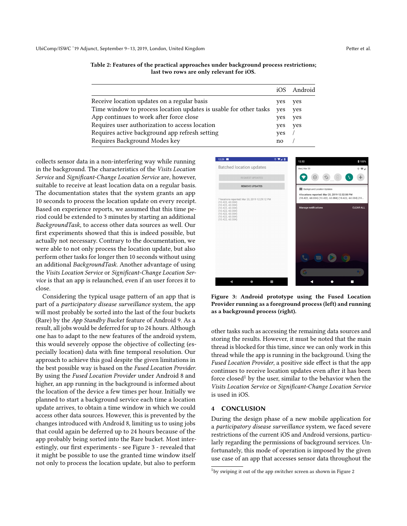|                                                                   | iOS. | Android |
|-------------------------------------------------------------------|------|---------|
| Receive location updates on a regular basis                       | yes  | yes     |
| Time window to process location updates is usable for other tasks | ves  | yes     |
| App continues to work after force close                           | yes  | yes     |
| Requires user authorization to access location                    | yes  | yes     |
| Requires active background app refresh setting                    | yes  |         |
| Requires Background Modes key                                     | no   |         |

collects sensor data in a non-interfering way while running in the background. The characteristics of the Visits Location Service and Significant-Change Location Service are, however, suitable to receive at least location data on a regular basis. The documentation states that the system grants an app 10 seconds to process the location update on every receipt. Based on experience reports, we assumed that this time period could be extended to 3 minutes by starting an additional BackgroundTask, to access other data sources as well. Our first experiments showed that this is indeed possible, but actually not necessary. Contrary to the documentation, we were able to not only process the location update, but also perform other tasks for longer then 10 seconds without using an additional BackgroundTask. Another advantage of using the Visits Location Service or Significant-Change Location Service is that an app is relaunched, even if an user forces it to close.

Considering the typical usage pattern of an app that is part of a participatory disease surveillance system, the app will most probably be sorted into the last of the four buckets (Rare) by the App Standby Bucket feature of Android 9. As a result, all jobs would be deferred for up to 24 hours. Although one has to adapt to the new features of the android system, this would severely oppose the objective of collecting (especially location) data with fine temporal resolution. Our approach to achieve this goal despite the given limitations in the best possible way is based on the Fused Location Provider. By using the Fused Location Provider under Android 8 and higher, an app running in the background is informed about the location of the device a few times per hour. Initially we planned to start a background service each time a location update arrives, to obtain a time window in which we could access other data sources. However, this is prevented by the changes introduced with Android 8, limiting us to using jobs that could again be deferred up to 24 hours because of the app probably being sorted into the Rare bucket. Most interestingly, our first experiments - see Figure [3](#page-3-0) - revealed that it might be possible to use the granted time window itself not only to process the location update, but also to perform

<span id="page-3-0"></span>

Figure 3: Android prototype using the Fused Location Provider running as a foreground process (left) and running as a background process (right).

other tasks such as accessing the remaining data sources and storing the results. However, it must be noted that the main thread is blocked for this time, since we can only work in this thread while the app is running in the background. Using the Fused Location Provider, a positive side effect is that the app continues to receive location updates even after it has been force closed<sup>[1](#page-3-1)</sup> by the user, similar to the behavior when the Visits Location Service or Significant-Change Location Service is used in iOS.

#### 4 CONCLUSION

During the design phase of a new mobile application for a participatory disease surveillance system, we faced severe restrictions of the current iOS and Android versions, particularly regarding the permissions of background services. Unfortunately, this mode of operation is imposed by the given use case of an app that accesses sensor data throughout the

<span id="page-3-1"></span><sup>&</sup>lt;sup>1</sup>by swiping it out of the app switcher screen as shown in Figure [2](#page-2-1)